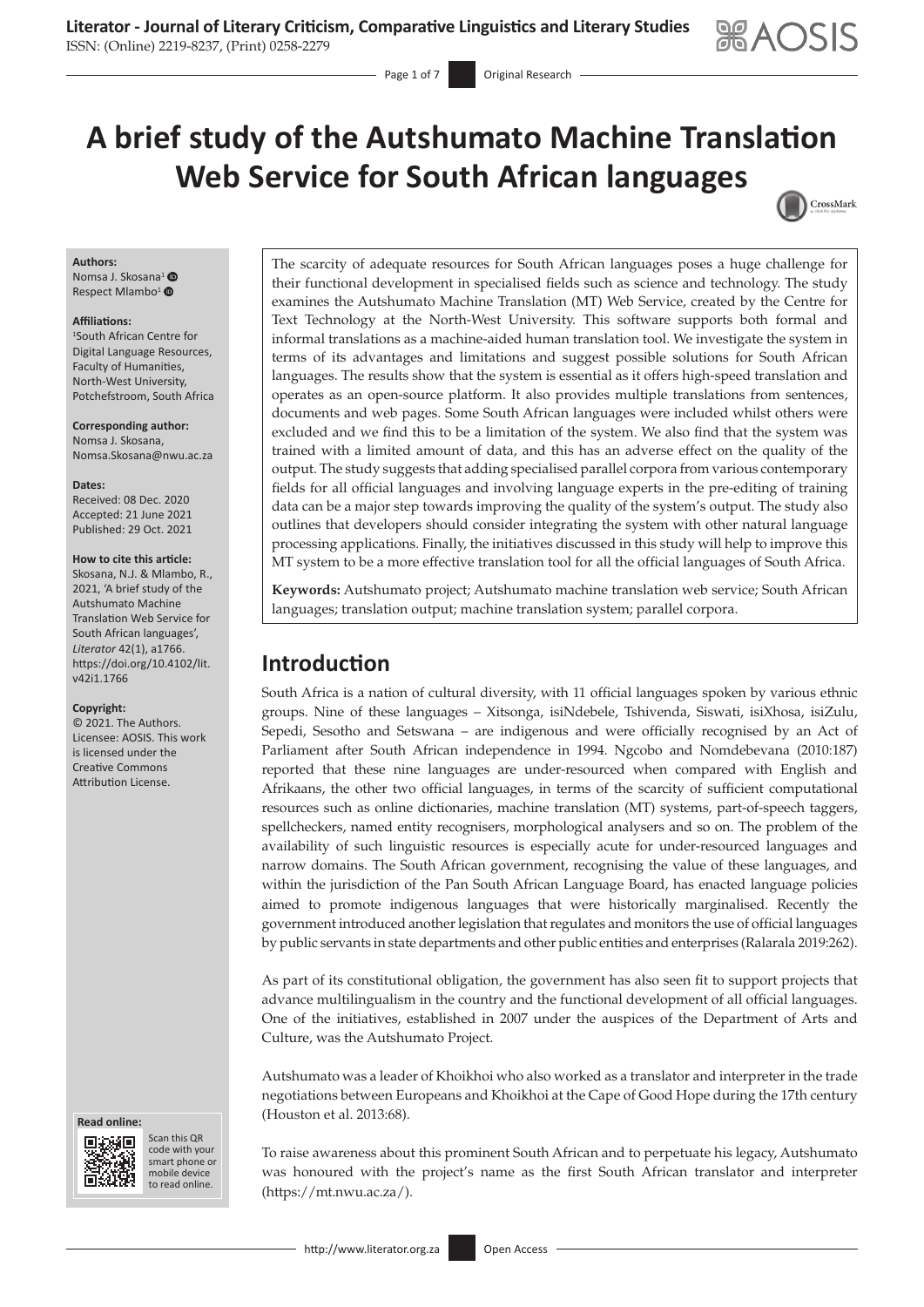

# **A brief study of the Autshumato Machine Translation Web Service for South African languages** CrossMark

Page 1 of 7 **Original Research** 

#### **Authors:**

Nomsa J. Skosana<sup>[1](https://orcid.org/0000-0002-2833-5895)</sup> <sup>O</sup> Respect Mlambo<sup>1</sup> <sup>®</sup>

#### **Affiliations:**

1 South African Centre for Digital Language Resources, Faculty of Humanities, North-West University, Potchefstroom, South Africa

**Corresponding author:** Nomsa J. Skosana, [Nomsa.Skosana@nwu.ac.za](mailto:Nomsa.Skosana@nwu.ac.za)

**Dates:** Received: 08 Dec. 2020 Accepted: 21 June 2021 Published: 29 Oct. 2021

#### **How to cite this article:**

Skosana, N.J. & Mlambo, R., 2021, 'A brief study of the Autshumato Machine Translation Web Service for South African languages', *Literator* 42(1), a1766. [https://doi.org/10.4102/lit.](https://doi.org/10.4102/lit.v42i1.1766) [v42i1.1766](https://doi.org/10.4102/lit.v42i1.1766)

#### **Copyright:**

© 2021. The Authors. Licensee: AOSIS. This work is licensed under the Creative Commons Attribution License.

#### **Read online: Read online:**



Scan this QR code with your Scan this QR<br>code with your<br>smart phone or<br>mobile device mobile device to read online. to read online.

The scarcity of adequate resources for South African languages poses a huge challenge for their functional development in specialised fields such as science and technology. The study examines the Autshumato Machine Translation (MT) Web Service, created by the Centre for Text Technology at the North-West University. This software supports both formal and informal translations as a machine-aided human translation tool. We investigate the system in terms of its advantages and limitations and suggest possible solutions for South African languages. The results show that the system is essential as it offers high-speed translation and operates as an open-source platform. It also provides multiple translations from sentences, documents and web pages. Some South African languages were included whilst others were excluded and we find this to be a limitation of the system. We also find that the system was trained with a limited amount of data, and this has an adverse effect on the quality of the output. The study suggests that adding specialised parallel corpora from various contemporary fields for all official languages and involving language experts in the pre-editing of training data can be a major step towards improving the quality of the system's output. The study also outlines that developers should consider integrating the system with other natural language processing applications. Finally, the initiatives discussed in this study will help to improve this MT system to be a more effective translation tool for all the official languages of South Africa.

**Keywords:** Autshumato project; Autshumato machine translation web service; South African languages; translation output; machine translation system; parallel corpora.

## **Introduction**

South Africa is a nation of cultural diversity, with 11 official languages spoken by various ethnic groups. Nine of these languages – Xitsonga, isiNdebele, Tshivenda, Siswati, isiXhosa, isiZulu, Sepedi, Sesotho and Setswana – are indigenous and were officially recognised by an Act of Parliament after South African independence in 1994. Ngcobo and Nomdebevana (2010:187) reported that these nine languages are under-resourced when compared with English and Afrikaans, the other two official languages, in terms of the scarcity of sufficient computational resources such as online dictionaries, machine translation (MT) systems, part-of-speech taggers, spellcheckers, named entity recognisers, morphological analysers and so on. The problem of the availability of such linguistic resources is especially acute for under-resourced languages and narrow domains. The South African government, recognising the value of these languages, and within the jurisdiction of the Pan South African Language Board, has enacted language policies aimed to promote indigenous languages that were historically marginalised. Recently the government introduced another legislation that regulates and monitors the use of official languages by public servants in state departments and other public entities and enterprises (Ralarala 2019:262).

As part of its constitutional obligation, the government has also seen fit to support projects that advance multilingualism in the country and the functional development of all official languages. One of the initiatives, established in 2007 under the auspices of the Department of Arts and Culture, was the Autshumato Project.

Autshumato was a leader of Khoikhoi who also worked as a translator and interpreter in the trade negotiations between Europeans and Khoikhoi at the Cape of Good Hope during the 17th century (Houston et al. 2013:68).

To raise awareness about this prominent South African and to perpetuate his legacy, Autshumato was honoured with the project's name as the first South African translator and interpreter ([https://mt.nwu.ac.za/\)](https://mt.nwu.ac.za/).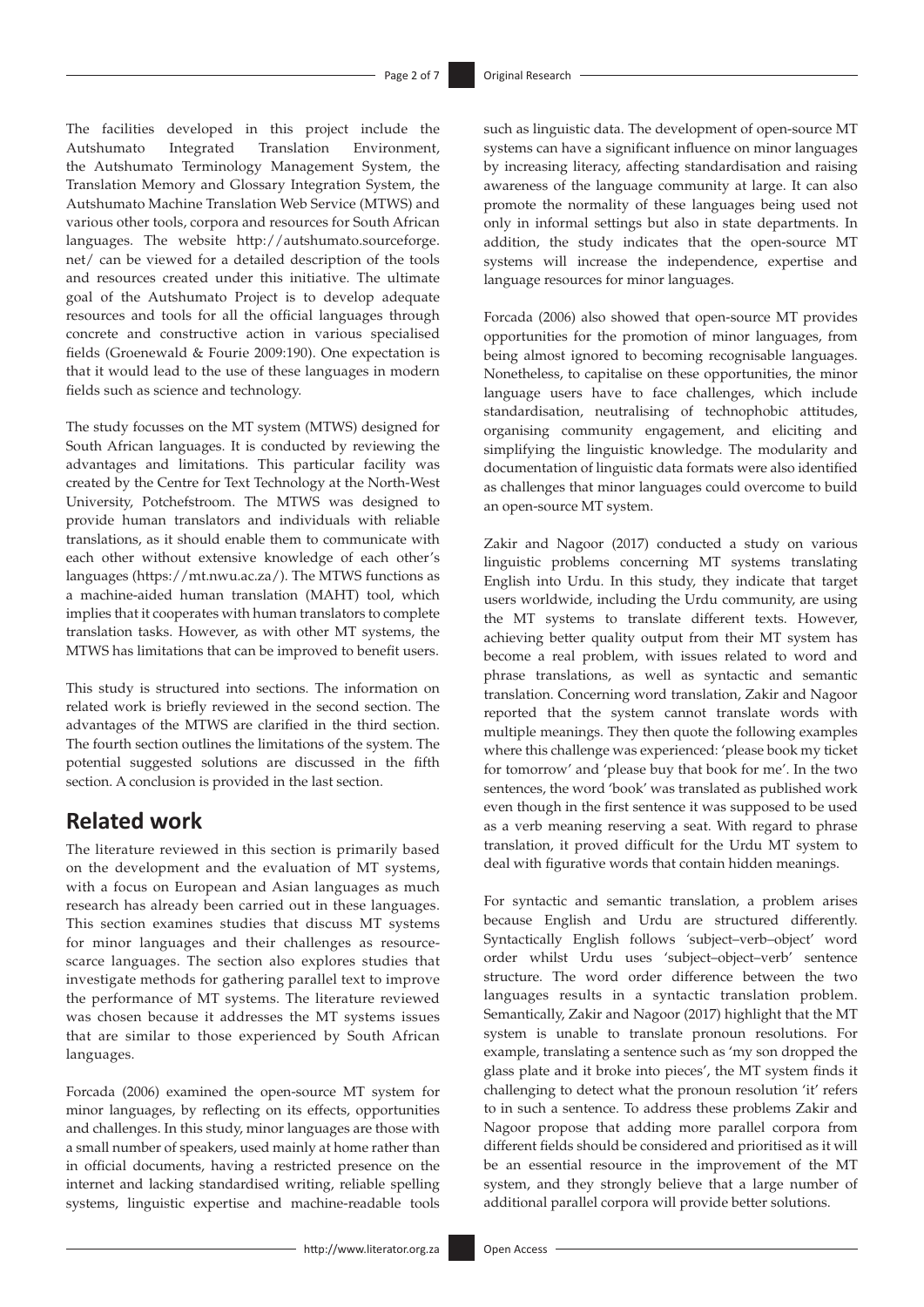The facilities developed in this project include the Autshumato Integrated Translation Environment, the Autshumato Terminology Management System, the Translation Memory and Glossary Integration System, the Autshumato Machine Translation Web Service (MTWS) and various other tools, corpora and resources for South African languages. The website [http://autshumato.sourceforge.](http://autshumato.sourceforge.net/) [net/](http://autshumato.sourceforge.net/) can be viewed for a detailed description of the tools and resources created under this initiative. The ultimate goal of the Autshumato Project is to develop adequate resources and tools for all the official languages through concrete and constructive action in various specialised fields (Groenewald & Fourie 2009:190). One expectation is that it would lead to the use of these languages in modern fields such as science and technology.

The study focusses on the MT system (MTWS) designed for South African languages. It is conducted by reviewing the advantages and limitations. This particular facility was created by the Centre for Text Technology at the North-West University, Potchefstroom. The MTWS was designed to provide human translators and individuals with reliable translations, as it should enable them to communicate with each other without extensive knowledge of each other's languages [\(https://mt.nwu.ac.za/\)](https://mt.nwu.ac.za/). The MTWS functions as a machine-aided human translation (MAHT) tool, which implies that it cooperates with human translators to complete translation tasks. However, as with other MT systems, the MTWS has limitations that can be improved to benefit users.

This study is structured into sections. The information on related work is briefly reviewed in the second section. The advantages of the MTWS are clarified in the third section. The fourth section outlines the limitations of the system. The potential suggested solutions are discussed in the fifth section. A conclusion is provided in the last section.

## **Related work**

The literature reviewed in this section is primarily based on the development and the evaluation of MT systems, with a focus on European and Asian languages as much research has already been carried out in these languages. This section examines studies that discuss MT systems for minor languages and their challenges as resourcescarce languages. The section also explores studies that investigate methods for gathering parallel text to improve the performance of MT systems. The literature reviewed was chosen because it addresses the MT systems issues that are similar to those experienced by South African languages.

Forcada (2006) examined the open-source MT system for minor languages, by reflecting on its effects, opportunities and challenges. In this study, minor languages are those with a small number of speakers, used mainly at home rather than in official documents, having a restricted presence on the internet and lacking standardised writing, reliable spelling systems, linguistic expertise and machine-readable tools

such as linguistic data. The development of open-source MT systems can have a significant influence on minor languages by increasing literacy, affecting standardisation and raising awareness of the language community at large. It can also promote the normality of these languages being used not only in informal settings but also in state departments. In addition, the study indicates that the open-source MT systems will increase the independence, expertise and language resources for minor languages.

Forcada (2006) also showed that open-source MT provides opportunities for the promotion of minor languages, from being almost ignored to becoming recognisable languages. Nonetheless, to capitalise on these opportunities, the minor language users have to face challenges, which include standardisation, neutralising of technophobic attitudes, organising community engagement, and eliciting and simplifying the linguistic knowledge. The modularity and documentation of linguistic data formats were also identified as challenges that minor languages could overcome to build an open-source MT system.

Zakir and Nagoor (2017) conducted a study on various linguistic problems concerning MT systems translating English into Urdu. In this study, they indicate that target users worldwide, including the Urdu community, are using the MT systems to translate different texts. However, achieving better quality output from their MT system has become a real problem, with issues related to word and phrase translations, as well as syntactic and semantic translation. Concerning word translation, Zakir and Nagoor reported that the system cannot translate words with multiple meanings. They then quote the following examples where this challenge was experienced: 'please book my ticket for tomorrow' and 'please buy that book for me'. In the two sentences, the word 'book' was translated as published work even though in the first sentence it was supposed to be used as a verb meaning reserving a seat. With regard to phrase translation, it proved difficult for the Urdu MT system to deal with figurative words that contain hidden meanings.

For syntactic and semantic translation, a problem arises because English and Urdu are structured differently. Syntactically English follows *'*subject–verb–object' word order whilst Urdu uses 'subject–object–verb' sentence structure. The word order difference between the two languages results in a syntactic translation problem. Semantically, Zakir and Nagoor (2017) highlight that the MT system is unable to translate pronoun resolutions. For example, translating a sentence such as 'my son dropped the glass plate and it broke into pieces', the MT system finds it challenging to detect what the pronoun resolution 'it' refers to in such a sentence. To address these problems Zakir and Nagoor propose that adding more parallel corpora from different fields should be considered and prioritised as it will be an essential resource in the improvement of the MT system, and they strongly believe that a large number of additional parallel corpora will provide better solutions.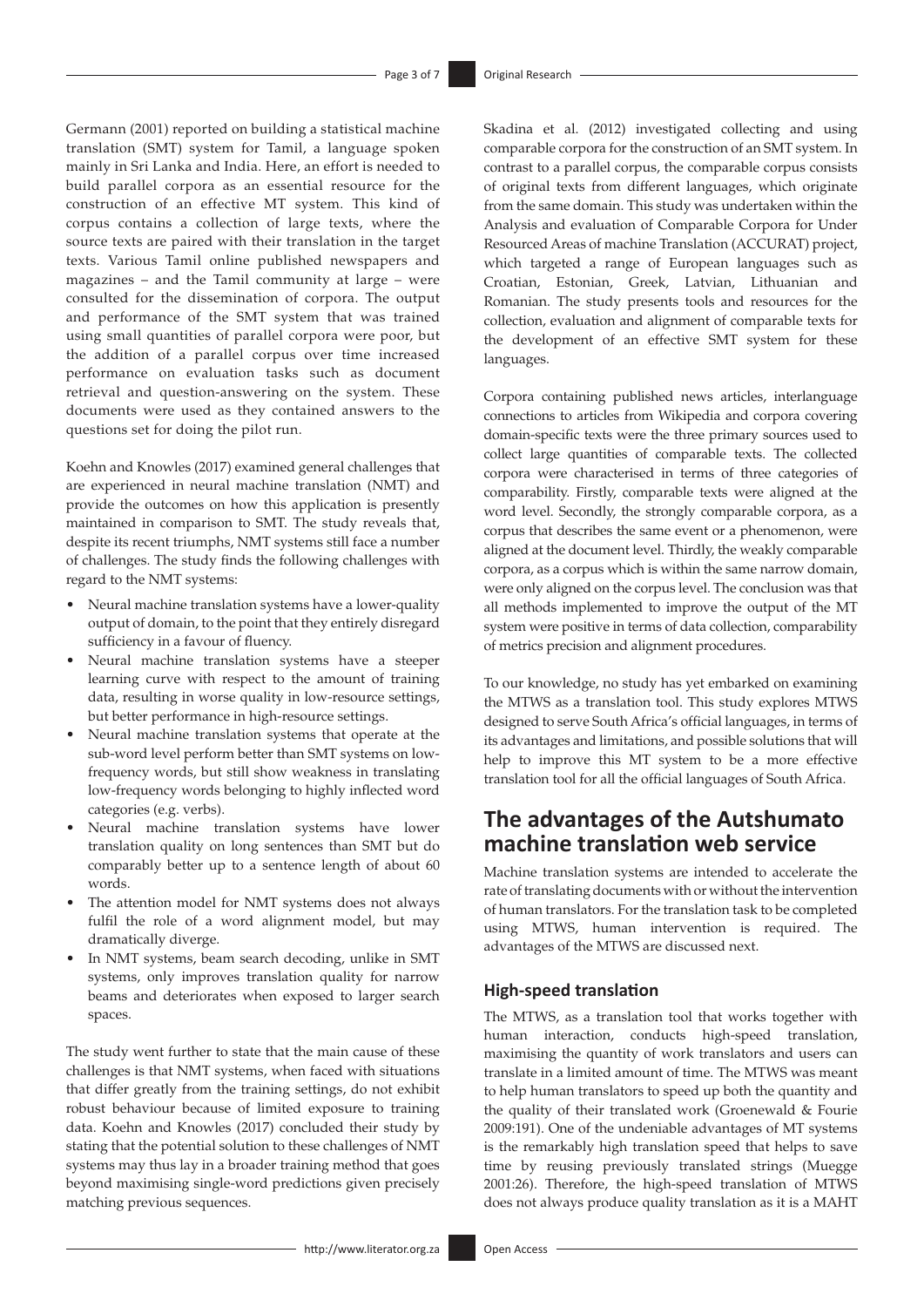Germann (2001) reported on building a statistical machine translation (SMT) system for Tamil, a language spoken mainly in Sri Lanka and India. Here, an effort is needed to build parallel corpora as an essential resource for the construction of an effective MT system. This kind of corpus contains a collection of large texts, where the source texts are paired with their translation in the target texts. Various Tamil online published newspapers and magazines – and the Tamil community at large – were consulted for the dissemination of corpora. The output and performance of the SMT system that was trained using small quantities of parallel corpora were poor, but the addition of a parallel corpus over time increased performance on evaluation tasks such as document retrieval and question-answering on the system. These documents were used as they contained answers to the questions set for doing the pilot run.

Koehn and Knowles (2017) examined general challenges that are experienced in neural machine translation (NMT) and provide the outcomes on how this application is presently maintained in comparison to SMT. The study reveals that, despite its recent triumphs, NMT systems still face a number of challenges. The study finds the following challenges with regard to the NMT systems:

- Neural machine translation systems have a lower-quality output of domain, to the point that they entirely disregard sufficiency in a favour of fluency.
- Neural machine translation systems have a steeper learning curve with respect to the amount of training data, resulting in worse quality in low-resource settings, but better performance in high-resource settings.
- Neural machine translation systems that operate at the sub-word level perform better than SMT systems on lowfrequency words, but still show weakness in translating low-frequency words belonging to highly inflected word categories (e.g. verbs).
- Neural machine translation systems have lower translation quality on long sentences than SMT but do comparably better up to a sentence length of about 60 words.
- The attention model for NMT systems does not always fulfil the role of a word alignment model, but may dramatically diverge.
- In NMT systems, beam search decoding, unlike in SMT systems, only improves translation quality for narrow beams and deteriorates when exposed to larger search spaces.

The study went further to state that the main cause of these challenges is that NMT systems, when faced with situations that differ greatly from the training settings, do not exhibit robust behaviour because of limited exposure to training data. Koehn and Knowles (2017) concluded their study by stating that the potential solution to these challenges of NMT systems may thus lay in a broader training method that goes beyond maximising single-word predictions given precisely matching previous sequences.

Skadina et al. (2012) investigated collecting and using comparable corpora for the construction of an SMT system. In contrast to a parallel corpus, the comparable corpus consists of original texts from different languages, which originate from the same domain. This study was undertaken within the Analysis and evaluation of Comparable Corpora for Under Resourced Areas of machine Translation (ACCURAT) project, which targeted a range of European languages such as Croatian, Estonian, Greek, Latvian, Lithuanian and Romanian. The study presents tools and resources for the collection, evaluation and alignment of comparable texts for the development of an effective SMT system for these languages.

Corpora containing published news articles, interlanguage connections to articles from Wikipedia and corpora covering domain-specific texts were the three primary sources used to collect large quantities of comparable texts. The collected corpora were characterised in terms of three categories of comparability. Firstly, comparable texts were aligned at the word level. Secondly, the strongly comparable corpora, as a corpus that describes the same event or a phenomenon, were aligned at the document level. Thirdly, the weakly comparable corpora, as a corpus which is within the same narrow domain, were only aligned on the corpus level. The conclusion was that all methods implemented to improve the output of the MT system were positive in terms of data collection, comparability of metrics precision and alignment procedures.

To our knowledge, no study has yet embarked on examining the MTWS as a translation tool. This study explores MTWS designed to serve South Africa's official languages, in terms of its advantages and limitations, and possible solutions that will help to improve this MT system to be a more effective translation tool for all the official languages of South Africa.

## **The advantages of the Autshumato machine translation web service**

Machine translation systems are intended to accelerate the rate of translating documents with or without the intervention of human translators. For the translation task to be completed using MTWS, human intervention is required. The advantages of the MTWS are discussed next.

### **High-speed translation**

The MTWS, as a translation tool that works together with human interaction, conducts high-speed translation, maximising the quantity of work translators and users can translate in a limited amount of time. The MTWS was meant to help human translators to speed up both the quantity and the quality of their translated work (Groenewald & Fourie 2009:191). One of the undeniable advantages of MT systems is the remarkably high translation speed that helps to save time by reusing previously translated strings (Muegge 2001:26). Therefore, the high-speed translation of MTWS does not always produce quality translation as it is a MAHT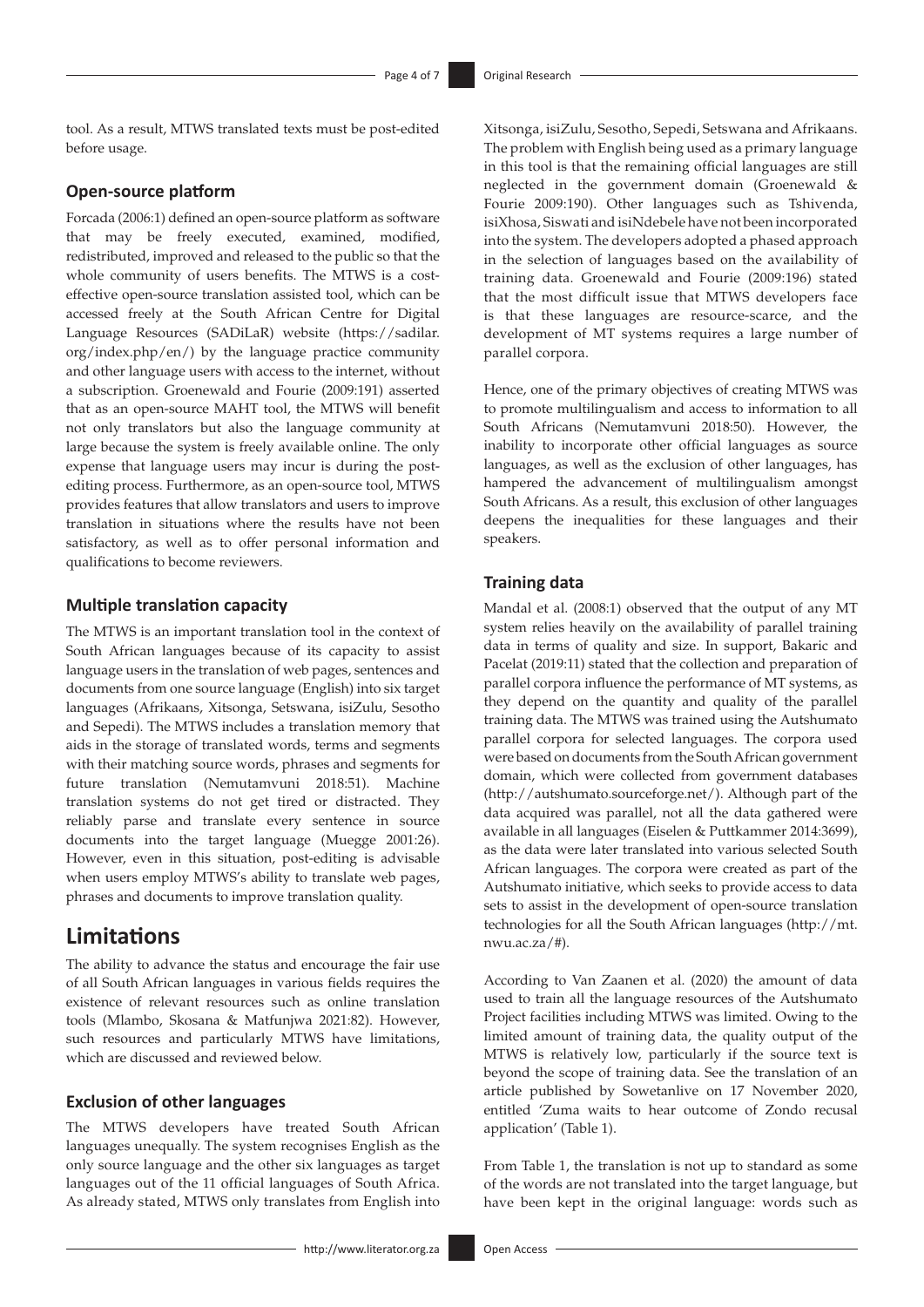tool. As a result, MTWS translated texts must be post-edited before usage.

### **Open-source platform**

Forcada (2006:1) defined an open-source platform as software that may be freely executed, examined, modified, redistributed, improved and released to the public so that the whole community of users benefits. The MTWS is a costeffective open-source translation assisted tool, which can be accessed freely at the South African Centre for Digital Language Resources (SADiLaR) website [\(https://sadilar.](https://sadilar.org/index.php/en/) [org/index.php/en/](https://sadilar.org/index.php/en/)) by the language practice community and other language users with access to the internet, without a subscription. Groenewald and Fourie (2009:191) asserted that as an open-source MAHT tool, the MTWS will benefit not only translators but also the language community at large because the system is freely available online. The only expense that language users may incur is during the postediting process. Furthermore, as an open-source tool, MTWS provides features that allow translators and users to improve translation in situations where the results have not been satisfactory, as well as to offer personal information and qualifications to become reviewers.

### **Multiple translation capacity**

The MTWS is an important translation tool in the context of South African languages because of its capacity to assist language users in the translation of web pages, sentences and documents from one source language (English) into six target languages (Afrikaans, Xitsonga, Setswana, isiZulu, Sesotho and Sepedi). The MTWS includes a translation memory that aids in the storage of translated words, terms and segments with their matching source words, phrases and segments for future translation (Nemutamvuni 2018:51). Machine translation systems do not get tired or distracted. They reliably parse and translate every sentence in source documents into the target language (Muegge 2001:26). However, even in this situation, post-editing is advisable when users employ MTWS's ability to translate web pages, phrases and documents to improve translation quality.

### **Limitations**

The ability to advance the status and encourage the fair use of all South African languages in various fields requires the existence of relevant resources such as online translation tools (Mlambo, Skosana & Matfunjwa 2021:82). However, such resources and particularly MTWS have limitations, which are discussed and reviewed below.

### **Exclusion of other languages**

The MTWS developers have treated South African languages unequally. The system recognises English as the only source language and the other six languages as target languages out of the 11 official languages of South Africa. As already stated, MTWS only translates from English into Xitsonga, isiZulu, Sesotho, Sepedi, Setswana and Afrikaans. The problem with English being used as a primary language in this tool is that the remaining official languages are still neglected in the government domain (Groenewald & Fourie 2009:190). Other languages such as Tshivenda, isiXhosa, Siswati and isiNdebele have not been incorporated into the system. The developers adopted a phased approach in the selection of languages based on the availability of training data. Groenewald and Fourie (2009:196) stated that the most difficult issue that MTWS developers face is that these languages are resource-scarce, and the development of MT systems requires a large number of parallel corpora.

Hence, one of the primary objectives of creating MTWS was to promote multilingualism and access to information to all South Africans (Nemutamvuni 2018:50). However, the inability to incorporate other official languages as source languages, as well as the exclusion of other languages, has hampered the advancement of multilingualism amongst South Africans. As a result, this exclusion of other languages deepens the inequalities for these languages and their speakers.

### **Training data**

Mandal et al. (2008:1) observed that the output of any MT system relies heavily on the availability of parallel training data in terms of quality and size. In support, Bakaric and Pacelat (2019:11) stated that the collection and preparation of parallel corpora influence the performance of MT systems, as they depend on the quantity and quality of the parallel training data. The MTWS was trained using the Autshumato parallel corpora for selected languages. The corpora used were based on documents from the South African government domain, which were collected from government databases (<http://autshumato.sourceforge.net/>). Although part of the data acquired was parallel, not all the data gathered were available in all languages (Eiselen & Puttkammer 2014:3699), as the data were later translated into various selected South African languages. The corpora were created as part of the Autshumato initiative, which seeks to provide access to data sets to assist in the development of open-source translation technologies for all the South African languages ([http://mt.](http://mt.nwu.ac.za/#) [nwu.ac.za/#\)](http://mt.nwu.ac.za/#).

According to Van Zaanen et al. (2020) the amount of data used to train all the language resources of the Autshumato Project facilities including MTWS was limited. Owing to the limited amount of training data, the quality output of the MTWS is relatively low, particularly if the source text is beyond the scope of training data. See the translation of an article published by Sowetanlive on 17 November 2020, entitled 'Zuma waits to hear outcome of Zondo recusal application' (Table 1).

From Table 1, the translation is not up to standard as some of the words are not translated into the target language, but have been kept in the original language: words such as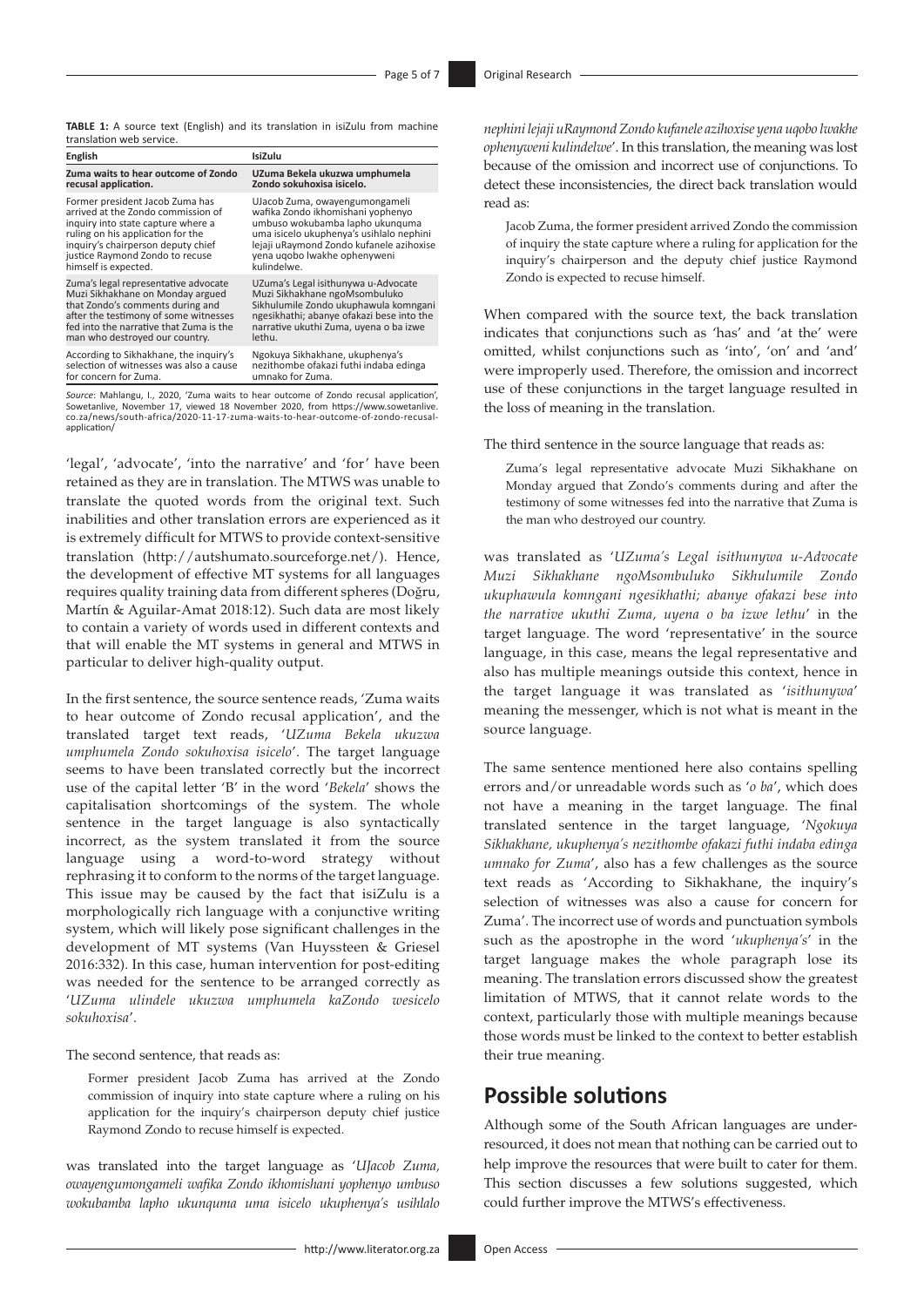**TABLE 1:** A source text (English) and its translation in isiZulu from machine translation web service.

| English                                 | IsiZulu                                                                            |
|-----------------------------------------|------------------------------------------------------------------------------------|
| Zuma waits to hear outcome of Zondo     | UZuma Bekela ukuzwa umphumela                                                      |
| recusal application.                    | Zondo sokuhoxisa isicelo.                                                          |
| Former president Jacob Zuma has         | UJacob Zuma, owayengumongameli                                                     |
| arrived at the Zondo commission of      | wafika Zondo ikhomishani yophenyo                                                  |
| inguiry into state capture where a      | umbuso wokubamba lapho ukunguma                                                    |
| ruling on his application for the       | uma isicelo ukuphenya's usihlalo nephini                                           |
| inquiry's chairperson deputy chief      | lejaji uRaymond Zondo kufanele azihoxise                                           |
| justice Raymond Zondo to recuse         | yena ugobo lwakhe ophenyweni                                                       |
| himself is expected.                    | kulindelwe.                                                                        |
| Zuma's legal representative advocate    | UZuma's Legal isithunywa u-Advocate                                                |
| Muzi Sikhakhane on Monday argued        | Muzi Sikhakhane ngoMsombuluko                                                      |
| that Zondo's comments during and        | Sikhulumile Zondo ukuphawula komngani                                              |
| after the testimony of some witnesses   | ngesikhathi; abanye ofakazi bese into the                                          |
| fed into the narrative that Zuma is the | narrative ukuthi Zuma, uyena o ba izwe                                             |
| man who destroyed our country.          | lethu.                                                                             |
| According to Sikhakhane, the inquiry's  | Ngokuya Sikhakhane, ukuphenya's                                                    |
| selection of witnesses was also a cause | nezithombe ofakazi futhi indaba edinga                                             |
| for concern for Zuma.                   | umnako for Zuma.                                                                   |
|                                         | Source: Mahlangu L. 2020. 'Zuma waits to hear outcome of Zondo recusal annication' |

*Source*: Mahlangu, I., 2020, 'Zuma waits to hear outcome of Zondo recusal application', Sowetanlive, November 17, viewed 18 November 2020, from [https://www.sowetanlive.](https://www.sowetanlive.co.za/news/south-africa/2020-11-17-zuma-waits-to-hear-outcome-of-zondo-recusal-application/) [co.za/news/south-africa/2020-11-17-zuma-waits-to-hear-outcome-of-zondo-recusal](https://www.sowetanlive.co.za/news/south-africa/2020-11-17-zuma-waits-to-hear-outcome-of-zondo-recusal-application/)[application/](https://www.sowetanlive.co.za/news/south-africa/2020-11-17-zuma-waits-to-hear-outcome-of-zondo-recusal-application/)

'legal', 'advocate', 'into the narrative' and 'for' have been retained as they are in translation. The MTWS was unable to translate the quoted words from the original text. Such inabilities and other translation errors are experienced as it is extremely difficult for MTWS to provide context-sensitive translation (<http://autshumato.sourceforge.net/>). Hence, the development of effective MT systems for all languages requires quality training data from different spheres (Doğru, Martín & Aguilar-Amat 2018:12). Such data are most likely to contain a variety of words used in different contexts and that will enable the MT systems in general and MTWS in particular to deliver high-quality output.

In the first sentence, the source sentence reads, 'Zuma waits to hear outcome of Zondo recusal application', and the translated target text reads, '*UZuma Bekela ukuzwa umphumela Zondo sokuhoxisa isicelo*'. The target language seems to have been translated correctly but the incorrect use of the capital letter 'B' in the word '*Bekela*' shows the capitalisation shortcomings of the system. The whole sentence in the target language is also syntactically incorrect, as the system translated it from the source language using a word-to-word strategy without rephrasing it to conform to the norms of the target language. This issue may be caused by the fact that isiZulu is a morphologically rich language with a conjunctive writing system, which will likely pose significant challenges in the development of MT systems (Van Huyssteen & Griesel 2016:332). In this case, human intervention for post-editing was needed for the sentence to be arranged correctly as '*UZuma ulindele ukuzwa umphumela kaZondo wesicelo sokuhoxisa*'.

The second sentence, that reads as:

Former president Jacob Zuma has arrived at the Zondo commission of inquiry into state capture where a ruling on his application for the inquiry's chairperson deputy chief justice Raymond Zondo to recuse himself is expected.

was translated into the target language as '*UJacob Zuma, owayengumongameli wafika Zondo ikhomishani yophenyo umbuso wokubamba lapho ukunquma uma isicelo ukuphenya's usihlalo* 

*nephini lejaji uRaymond Zondo kufanele azihoxise yena uqobo lwakhe ophenyweni kulindelwe*'. In this translation, the meaning was lost because of the omission and incorrect use of conjunctions. To detect these inconsistencies, the direct back translation would read as:

Jacob Zuma, the former president arrived Zondo the commission of inquiry the state capture where a ruling for application for the inquiry's chairperson and the deputy chief justice Raymond Zondo is expected to recuse himself.

When compared with the source text, the back translation indicates that conjunctions such as 'has' and 'at the' were omitted, whilst conjunctions such as 'into', 'on' and 'and' were improperly used. Therefore, the omission and incorrect use of these conjunctions in the target language resulted in the loss of meaning in the translation.

The third sentence in the source language that reads as:

Zuma's legal representative advocate Muzi Sikhakhane on Monday argued that Zondo's comments during and after the testimony of some witnesses fed into the narrative that Zuma is the man who destroyed our country.

was translated as '*UZuma's Legal isithunywa u-Advocate Muzi Sikhakhane ngoMsombuluko Sikhulumile Zondo ukuphawula komngani ngesikhathi; abanye ofakazi bese into the narrative ukuthi Zuma, uyena o ba izwe lethu*' in the target language. The word 'representative' in the source language, in this case, means the legal representative and also has multiple meanings outside this context, hence in the target language it was translated as '*isithunywa*' meaning the messenger, which is not what is meant in the source language.

The same sentence mentioned here also contains spelling errors and/or unreadable words such as '*o ba*', which does not have a meaning in the target language. The final translated sentence in the target language, '*Ngokuya Sikhakhane, ukuphenya's nezithombe ofakazi futhi indaba edinga umnako for Zuma*', also has a few challenges as the source text reads as 'According to Sikhakhane, the inquiry's selection of witnesses was also a cause for concern for Zuma'. The incorrect use of words and punctuation symbols such as the apostrophe in the word '*ukuphenya's*' in the target language makes the whole paragraph lose its meaning. The translation errors discussed show the greatest limitation of MTWS, that it cannot relate words to the context, particularly those with multiple meanings because those words must be linked to the context to better establish their true meaning.

## **Possible solutions**

Although some of the South African languages are underresourced, it does not mean that nothing can be carried out to help improve the resources that were built to cater for them. This section discusses a few solutions suggested, which could further improve the MTWS's effectiveness.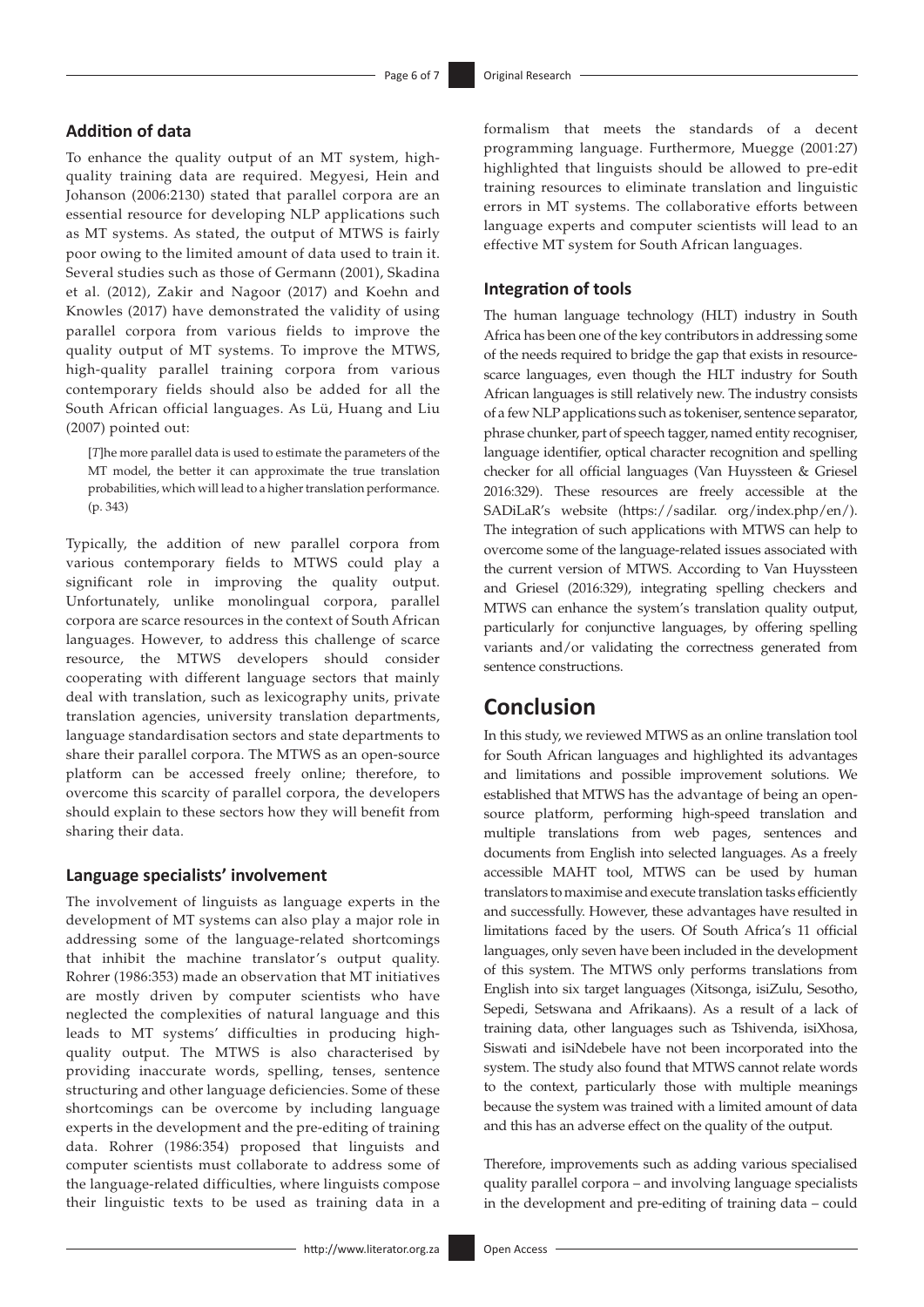### **Addition of data**

To enhance the quality output of an MT system, highquality training data are required. Megyesi, Hein and Johanson (2006:2130) stated that parallel corpora are an essential resource for developing NLP applications such as MT systems. As stated, the output of MTWS is fairly poor owing to the limited amount of data used to train it. Several studies such as those of Germann (2001), Skadina et al. (2012), Zakir and Nagoor (2017) and Koehn and Knowles (2017) have demonstrated the validity of using parallel corpora from various fields to improve the quality output of MT systems. To improve the MTWS, high-quality parallel training corpora from various contemporary fields should also be added for all the South African official languages. As Lü, Huang and Liu (2007) pointed out:

[*T*]he more parallel data is used to estimate the parameters of the MT model, the better it can approximate the true translation probabilities, which will lead to a higher translation performance. (p. 343)

Typically, the addition of new parallel corpora from various contemporary fields to MTWS could play a significant role in improving the quality output. Unfortunately, unlike monolingual corpora, parallel corpora are scarce resources in the context of South African languages. However, to address this challenge of scarce resource, the MTWS developers should consider cooperating with different language sectors that mainly deal with translation, such as lexicography units, private translation agencies, university translation departments, language standardisation sectors and state departments to share their parallel corpora. The MTWS as an open-source platform can be accessed freely online; therefore, to overcome this scarcity of parallel corpora, the developers should explain to these sectors how they will benefit from sharing their data.

### **Language specialists' involvement**

The involvement of linguists as language experts in the development of MT systems can also play a major role in addressing some of the language-related shortcomings that inhibit the machine translator's output quality. Rohrer (1986:353) made an observation that MT initiatives are mostly driven by computer scientists who have neglected the complexities of natural language and this leads to MT systems' difficulties in producing highquality output. The MTWS is also characterised by providing inaccurate words, spelling, tenses, sentence structuring and other language deficiencies. Some of these shortcomings can be overcome by including language experts in the development and the pre-editing of training data. Rohrer (1986:354) proposed that linguists and computer scientists must collaborate to address some of the language-related difficulties, where linguists compose their linguistic texts to be used as training data in a formalism that meets the standards of a decent programming language. Furthermore, Muegge (2001:27) highlighted that linguists should be allowed to pre-edit training resources to eliminate translation and linguistic errors in MT systems. The collaborative efforts between language experts and computer scientists will lead to an effective MT system for South African languages.

### **Integration of tools**

The human language technology (HLT) industry in South Africa has been one of the key contributors in addressing some of the needs required to bridge the gap that exists in resourcescarce languages, even though the HLT industry for South African languages is still relatively new. The industry consists of a few NLP applications such as tokeniser, sentence separator, phrase chunker, part of speech tagger, named entity recogniser, language identifier, optical character recognition and spelling checker for all official languages (Van Huyssteen & Griesel 2016:329). These resources are freely accessible at the SADiLaR's website (https://sadilar. org/index.php/en/). The integration of such applications with MTWS can help to overcome some of the language-related issues associated with the current version of MTWS. According to Van Huyssteen and Griesel (2016:329), integrating spelling checkers and MTWS can enhance the system's translation quality output, particularly for conjunctive languages, by offering spelling variants and/or validating the correctness generated from sentence constructions.

## **Conclusion**

In this study, we reviewed MTWS as an online translation tool for South African languages and highlighted its advantages and limitations and possible improvement solutions. We established that MTWS has the advantage of being an opensource platform, performing high-speed translation and multiple translations from web pages, sentences and documents from English into selected languages. As a freely accessible MAHT tool, MTWS can be used by human translators to maximise and execute translation tasks efficiently and successfully. However, these advantages have resulted in limitations faced by the users. Of South Africa's 11 official languages, only seven have been included in the development of this system. The MTWS only performs translations from English into six target languages (Xitsonga, isiZulu, Sesotho, Sepedi, Setswana and Afrikaans). As a result of a lack of training data, other languages such as Tshivenda, isiXhosa, Siswati and isiNdebele have not been incorporated into the system. The study also found that MTWS cannot relate words to the context, particularly those with multiple meanings because the system was trained with a limited amount of data and this has an adverse effect on the quality of the output.

Therefore, improvements such as adding various specialised quality parallel corpora – and involving language specialists in the development and pre-editing of training data – could